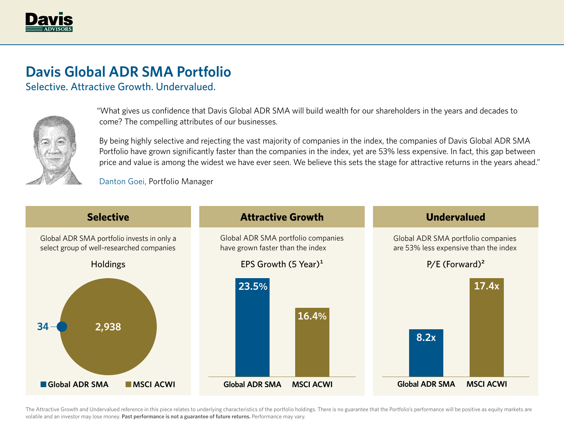

## **Davis Global ADR SMA Portfolio**

Selective. Attractive Growth. Undervalued.



"What gives us confidence that Davis Global ADR SMA will build wealth for our shareholders in the years and decades to come? The compelling attributes of our businesses.

By being highly selective and rejecting the vast majority of companies in the index, the companies of Davis Global ADR SMA Portfolio have grown significantly faster than the companies in the index, yet are 53% less expensive. In fact, this gap between price and value is among the widest we have ever seen. We believe this sets the stage for attractive returns in the years ahead."

Danton Goei, Portfolio Manager



The Attractive Growth and Undervalued reference in this piece relates to underlying characteristics of the portfolio holdings. There is no guarantee that the Portfolio's performance will be positive as equity markets are volatile and an investor may lose money. **Past performance is not a guarantee of future returns.** Performance may vary.